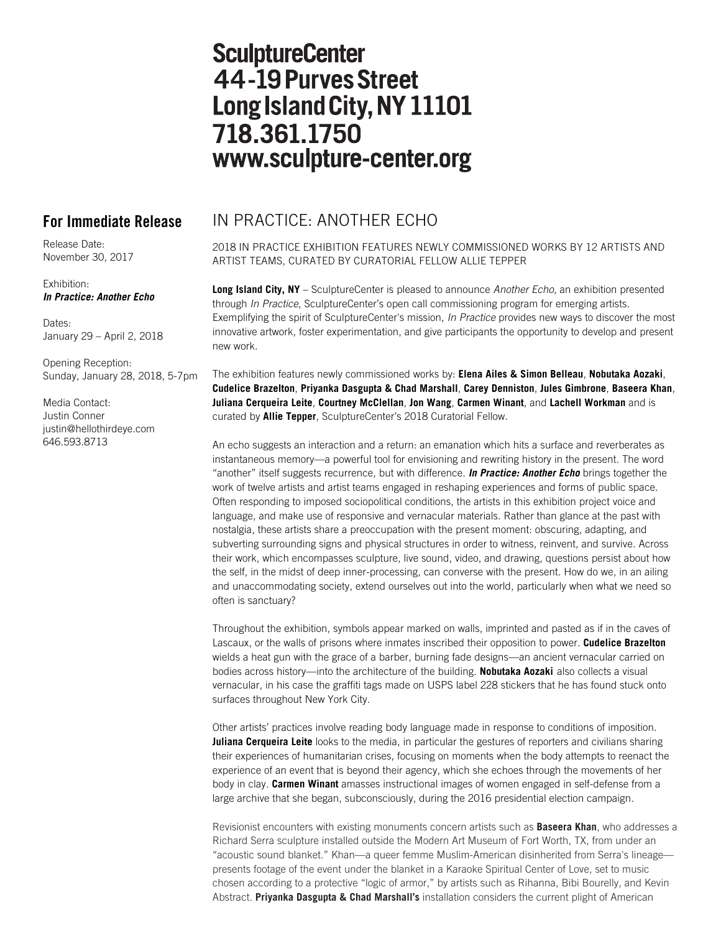# **SculptureCenter** 44-19 Purves Street Long Island City, NY 11101 718.361.1750 www.sculpture-center.org

Release Date: November 30, 2017

## Exhibition: *In Practice: Another Echo*

Dates· January 29 – April 2, 2018

Opening Reception: Sunday, January 28, 2018, 5-7pm

Media Contact: Justin Conner justin@hellothirdeye.com 646.593.8713

## **For Immediate Release** IN PRACTICE: ANOTHER ECHO

2018 IN PRACTICE EXHIBITION FEATURES NEWLY COMMISSIONED WORKS BY 12 ARTISTS AND ARTIST TEAMS, CURATED BY CURATORIAL FELLOW ALLIE TEPPER

**Long Island City, NY** – SculptureCenter is pleased to announce *Another Echo*, an exhibition presented through *In Practice*, SculptureCenter's open call commissioning program for emerging artists. Exemplifying the spirit of SculptureCenter's mission, *In Practice* provides new ways to discover the most innovative artwork, foster experimentation, and give participants the opportunity to develop and present new work.

The exhibition features newly commissioned works by: **Elena Ailes & Simon Belleau**, **Nobutaka Aozaki**, **Cudelice Brazelton**, **Priyanka Dasgupta & Chad Marshall**, **Carey Denniston**, **Jules Gimbrone**, **Baseera Khan**, **Juliana Cerqueira Leite**, **Courtney McClellan**, **Jon Wang**, **Carmen Winant**, and **Lachell Workman** and is curated by **Allie Tepper**, SculptureCenter's 2018 Curatorial Fellow.

An echo suggests an interaction and a return: an emanation which hits a surface and reverberates as instantaneous memory—a powerful tool for envisioning and rewriting history in the present. The word "another" itself suggests recurrence, but with difference. *In Practice: Another Echo* brings together the work of twelve artists and artist teams engaged in reshaping experiences and forms of public space. Often responding to imposed sociopolitical conditions, the artists in this exhibition project voice and language, and make use of responsive and vernacular materials. Rather than glance at the past with nostalgia, these artists share a preoccupation with the present moment: obscuring, adapting, and subverting surrounding signs and physical structures in order to witness, reinvent, and survive. Across their work, which encompasses sculpture, live sound, video, and drawing, questions persist about how the self, in the midst of deep inner-processing, can converse with the present. How do we, in an ailing and unaccommodating society, extend ourselves out into the world, particularly when what we need so often is sanctuary?

Throughout the exhibition, symbols appear marked on walls, imprinted and pasted as if in the caves of Lascaux, or the walls of prisons where inmates inscribed their opposition to power. **Cudelice Brazelton** wields a heat gun with the grace of a barber, burning fade designs—an ancient vernacular carried on bodies across history—into the architecture of the building. **Nobutaka Aozaki** also collects a visual vernacular, in his case the graffiti tags made on USPS label 228 stickers that he has found stuck onto surfaces throughout New York City.

Other artists' practices involve reading body language made in response to conditions of imposition. **Juliana Cerqueira Leite** looks to the media, in particular the gestures of reporters and civilians sharing their experiences of humanitarian crises, focusing on moments when the body attempts to reenact the experience of an event that is beyond their agency, which she echoes through the movements of her body in clay. **Carmen Winant** amasses instructional images of women engaged in self-defense from a large archive that she began, subconsciously, during the 2016 presidential election campaign.

Revisionist encounters with existing monuments concern artists such as **Baseera Khan**, who addresses a Richard Serra sculpture installed outside the Modern Art Museum of Fort Worth, TX, from under an "acoustic sound blanket." Khan—a queer femme Muslim-American disinherited from Serra's lineage presents footage of the event under the blanket in a Karaoke Spiritual Center of Love, set to music chosen according to a protective "logic of armor," by artists such as Rihanna, Bibi Bourelly, and Kevin Abstract. **Priyanka Dasgupta & Chad Marshall's** installation considers the current plight of American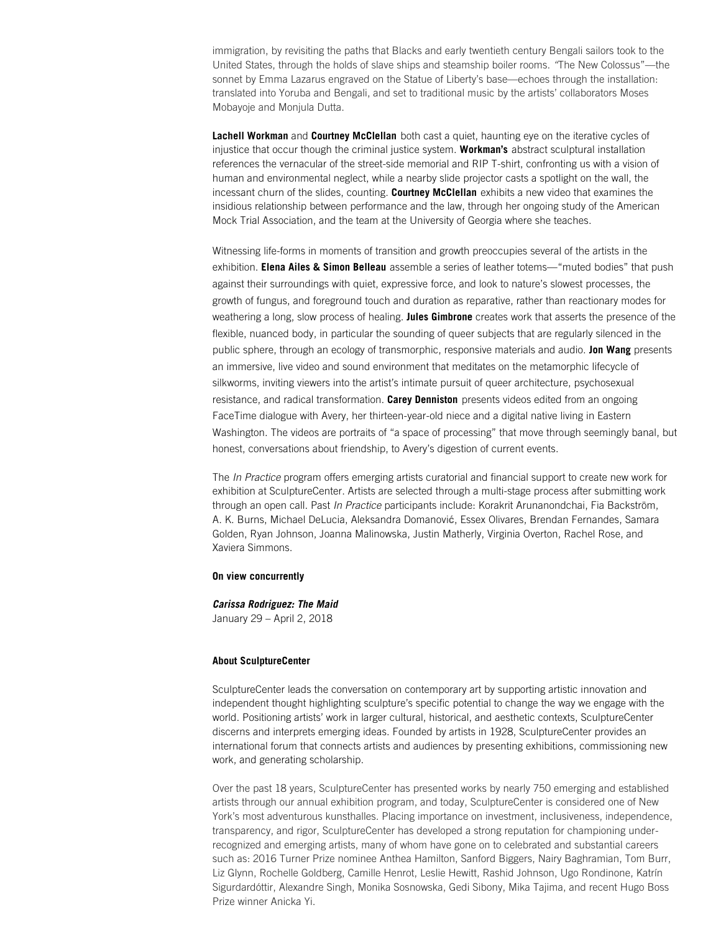immigration, by revisiting the paths that Blacks and early twentieth century Bengali sailors took to the United States, through the holds of slave ships and steamship boiler rooms. *"*The New Colossus"—the sonnet by Emma Lazarus engraved on the Statue of Liberty's base—echoes through the installation: translated into Yoruba and Bengali, and set to traditional music by the artists' collaborators Moses Mobayoje and Monjula Dutta.

**Lachell Workman** and **Courtney McClellan** both cast a quiet, haunting eye on the iterative cycles of injustice that occur though the criminal justice system. **Workman's** abstract sculptural installation references the vernacular of the street-side memorial and RIP T-shirt, confronting us with a vision of human and environmental neglect, while a nearby slide projector casts a spotlight on the wall, the incessant churn of the slides, counting. **Courtney McClellan** exhibits a new video that examines the insidious relationship between performance and the law, through her ongoing study of the American Mock Trial Association, and the team at the University of Georgia where she teaches.

Witnessing life-forms in moments of transition and growth preoccupies several of the artists in the exhibition. **Elena Ailes & Simon Belleau** assemble a series of leather totems—"muted bodies" that push against their surroundings with quiet, expressive force, and look to nature's slowest processes, the growth of fungus, and foreground touch and duration as reparative, rather than reactionary modes for weathering a long, slow process of healing. **Jules Gimbrone** creates work that asserts the presence of the flexible, nuanced body, in particular the sounding of queer subjects that are regularly silenced in the public sphere, through an ecology of transmorphic, responsive materials and audio. **Jon Wang** presents an immersive, live video and sound environment that meditates on the metamorphic lifecycle of silkworms, inviting viewers into the artist's intimate pursuit of queer architecture, psychosexual resistance, and radical transformation. **Carey Denniston** presents videos edited from an ongoing FaceTime dialogue with Avery, her thirteen-year-old niece and a digital native living in Eastern Washington. The videos are portraits of "a space of processing" that move through seemingly banal, but honest, conversations about friendship, to Avery's digestion of current events.

The *In Practice* program offers emerging artists curatorial and financial support to create new work for exhibition at SculptureCenter. Artists are selected through a multi-stage process after submitting work through an open call. Past *In Practice* participants include: Korakrit Arunanondchai, Fia Backström, A. K. Burns, Michael DeLucia, Aleksandra Domanovi**ć**, Essex Olivares, Brendan Fernandes, Samara Golden, Ryan Johnson, Joanna Malinowska, Justin Matherly, Virginia Overton, Rachel Rose, and Xaviera Simmons.

### **On view concurrently**

*Carissa Rodriguez: The Maid* January 29 – April 2, 2018

## **About SculptureCenter**

SculptureCenter leads the conversation on contemporary art by supporting artistic innovation and independent thought highlighting sculpture's specific potential to change the way we engage with the world. Positioning artists' work in larger cultural, historical, and aesthetic contexts, SculptureCenter discerns and interprets emerging ideas. Founded by artists in 1928, SculptureCenter provides an international forum that connects artists and audiences by presenting exhibitions, commissioning new work, and generating scholarship.

Over the past 18 years, SculptureCenter has presented works by nearly 750 emerging and established artists through our annual exhibition program, and today, SculptureCenter is considered one of New York's most adventurous kunsthalles. Placing importance on investment, inclusiveness, independence, transparency, and rigor, SculptureCenter has developed a strong reputation for championing underrecognized and emerging artists, many of whom have gone on to celebrated and substantial careers such as: 2016 Turner Prize nominee Anthea Hamilton, Sanford Biggers, Nairy Baghramian, Tom Burr, Liz Glynn, Rochelle Goldberg, Camille Henrot, Leslie Hewitt, Rashid Johnson, Ugo Rondinone, Katrín Sigurdardóttir, Alexandre Singh, Monika Sosnowska, Gedi Sibony, Mika Tajima, and recent Hugo Boss Prize winner Anicka Yi.